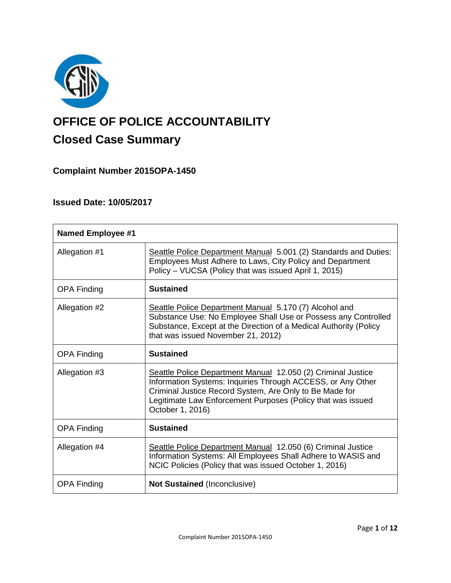

# **OFFICE OF POLICE ACCOUNTABILITY**

# **Closed Case Summary**

**Complaint Number 2015OPA-1450**

# **Issued Date: 10/05/2017**

| <b>Named Employee #1</b> |                                                                                                                                                                                                                                                                           |
|--------------------------|---------------------------------------------------------------------------------------------------------------------------------------------------------------------------------------------------------------------------------------------------------------------------|
| Allegation #1            | Seattle Police Department Manual 5.001 (2) Standards and Duties:<br>Employees Must Adhere to Laws, City Policy and Department<br>Policy - VUCSA (Policy that was issued April 1, 2015)                                                                                    |
| <b>OPA Finding</b>       | <b>Sustained</b>                                                                                                                                                                                                                                                          |
| Allegation #2            | Seattle Police Department Manual 5.170 (7) Alcohol and<br>Substance Use: No Employee Shall Use or Possess any Controlled<br>Substance, Except at the Direction of a Medical Authority (Policy<br>that was issued November 21, 2012)                                       |
| <b>OPA Finding</b>       | <b>Sustained</b>                                                                                                                                                                                                                                                          |
| Allegation #3            | Seattle Police Department Manual 12.050 (2) Criminal Justice<br>Information Systems: Inquiries Through ACCESS, or Any Other<br>Criminal Justice Record System, Are Only to Be Made for<br>Legitimate Law Enforcement Purposes (Policy that was issued<br>October 1, 2016) |
| <b>OPA Finding</b>       | <b>Sustained</b>                                                                                                                                                                                                                                                          |
| Allegation #4            | Seattle Police Department Manual 12.050 (6) Criminal Justice<br>Information Systems: All Employees Shall Adhere to WASIS and<br>NCIC Policies (Policy that was issued October 1, 2016)                                                                                    |
| <b>OPA Finding</b>       | <b>Not Sustained (Inconclusive)</b>                                                                                                                                                                                                                                       |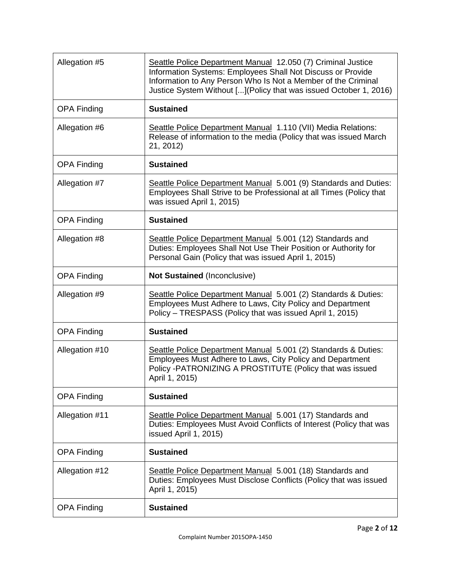| Allegation #5      | Seattle Police Department Manual 12.050 (7) Criminal Justice<br>Information Systems: Employees Shall Not Discuss or Provide<br>Information to Any Person Who Is Not a Member of the Criminal<br>Justice System Without [] (Policy that was issued October 1, 2016) |
|--------------------|--------------------------------------------------------------------------------------------------------------------------------------------------------------------------------------------------------------------------------------------------------------------|
| <b>OPA Finding</b> | <b>Sustained</b>                                                                                                                                                                                                                                                   |
| Allegation #6      | Seattle Police Department Manual 1.110 (VII) Media Relations:<br>Release of information to the media (Policy that was issued March<br>21, 2012)                                                                                                                    |
| <b>OPA Finding</b> | <b>Sustained</b>                                                                                                                                                                                                                                                   |
| Allegation #7      | Seattle Police Department Manual 5.001 (9) Standards and Duties:<br>Employees Shall Strive to be Professional at all Times (Policy that<br>was issued April 1, 2015)                                                                                               |
| <b>OPA Finding</b> | <b>Sustained</b>                                                                                                                                                                                                                                                   |
| Allegation #8      | Seattle Police Department Manual 5.001 (12) Standards and<br>Duties: Employees Shall Not Use Their Position or Authority for<br>Personal Gain (Policy that was issued April 1, 2015)                                                                               |
| <b>OPA Finding</b> | Not Sustained (Inconclusive)                                                                                                                                                                                                                                       |
| Allegation #9      | Seattle Police Department Manual 5.001 (2) Standards & Duties:<br>Employees Must Adhere to Laws, City Policy and Department<br>Policy - TRESPASS (Policy that was issued April 1, 2015)                                                                            |
| <b>OPA Finding</b> | <b>Sustained</b>                                                                                                                                                                                                                                                   |
| Allegation #10     | Seattle Police Department Manual 5.001 (2) Standards & Duties:<br>Employees Must Adhere to Laws, City Policy and Department<br>Policy -PATRONIZING A PROSTITUTE (Policy that was issued<br>April 1, 2015)                                                          |
| <b>OPA Finding</b> | <b>Sustained</b>                                                                                                                                                                                                                                                   |
| Allegation #11     | Seattle Police Department Manual 5.001 (17) Standards and<br>Duties: Employees Must Avoid Conflicts of Interest (Policy that was<br>issued April 1, 2015)                                                                                                          |
| <b>OPA Finding</b> | <b>Sustained</b>                                                                                                                                                                                                                                                   |
| Allegation #12     | Seattle Police Department Manual 5.001 (18) Standards and<br>Duties: Employees Must Disclose Conflicts (Policy that was issued<br>April 1, 2015)                                                                                                                   |
| <b>OPA Finding</b> | <b>Sustained</b>                                                                                                                                                                                                                                                   |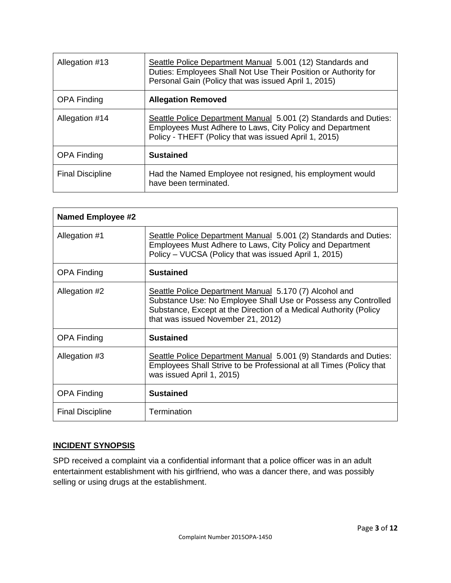| Allegation #13          | Seattle Police Department Manual 5.001 (12) Standards and<br>Duties: Employees Shall Not Use Their Position or Authority for<br>Personal Gain (Policy that was issued April 1, 2015)   |
|-------------------------|----------------------------------------------------------------------------------------------------------------------------------------------------------------------------------------|
| <b>OPA Finding</b>      | <b>Allegation Removed</b>                                                                                                                                                              |
| Allegation #14          | Seattle Police Department Manual 5.001 (2) Standards and Duties:<br>Employees Must Adhere to Laws, City Policy and Department<br>Policy - THEFT (Policy that was issued April 1, 2015) |
| <b>OPA Finding</b>      | <b>Sustained</b>                                                                                                                                                                       |
| <b>Final Discipline</b> | Had the Named Employee not resigned, his employment would<br>have been terminated.                                                                                                     |

| <b>Named Employee #2</b> |                                                                                                                                                                                                                                     |
|--------------------------|-------------------------------------------------------------------------------------------------------------------------------------------------------------------------------------------------------------------------------------|
| Allegation #1            | Seattle Police Department Manual 5.001 (2) Standards and Duties:<br>Employees Must Adhere to Laws, City Policy and Department<br>Policy - VUCSA (Policy that was issued April 1, 2015)                                              |
| <b>OPA Finding</b>       | <b>Sustained</b>                                                                                                                                                                                                                    |
| Allegation #2            | Seattle Police Department Manual 5.170 (7) Alcohol and<br>Substance Use: No Employee Shall Use or Possess any Controlled<br>Substance, Except at the Direction of a Medical Authority (Policy<br>that was issued November 21, 2012) |
| <b>OPA Finding</b>       | <b>Sustained</b>                                                                                                                                                                                                                    |
| Allegation #3            | Seattle Police Department Manual 5.001 (9) Standards and Duties:<br>Employees Shall Strive to be Professional at all Times (Policy that<br>was issued April 1, 2015)                                                                |
| <b>OPA Finding</b>       | <b>Sustained</b>                                                                                                                                                                                                                    |
| <b>Final Discipline</b>  | Termination                                                                                                                                                                                                                         |

# **INCIDENT SYNOPSIS**

SPD received a complaint via a confidential informant that a police officer was in an adult entertainment establishment with his girlfriend, who was a dancer there, and was possibly selling or using drugs at the establishment.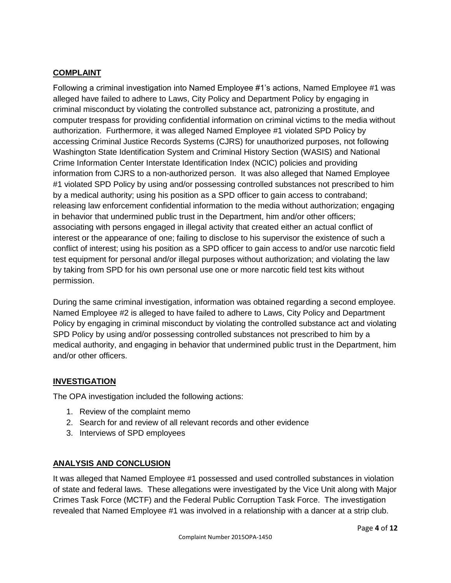# **COMPLAINT**

Following a criminal investigation into Named Employee #1's actions, Named Employee #1 was alleged have failed to adhere to Laws, City Policy and Department Policy by engaging in criminal misconduct by violating the controlled substance act, patronizing a prostitute, and computer trespass for providing confidential information on criminal victims to the media without authorization. Furthermore, it was alleged Named Employee #1 violated SPD Policy by accessing Criminal Justice Records Systems (CJRS) for unauthorized purposes, not following Washington State Identification System and Criminal History Section (WASIS) and National Crime Information Center Interstate Identification Index (NCIC) policies and providing information from CJRS to a non-authorized person. It was also alleged that Named Employee #1 violated SPD Policy by using and/or possessing controlled substances not prescribed to him by a medical authority; using his position as a SPD officer to gain access to contraband; releasing law enforcement confidential information to the media without authorization; engaging in behavior that undermined public trust in the Department, him and/or other officers; associating with persons engaged in illegal activity that created either an actual conflict of interest or the appearance of one; failing to disclose to his supervisor the existence of such a conflict of interest; using his position as a SPD officer to gain access to and/or use narcotic field test equipment for personal and/or illegal purposes without authorization; and violating the law by taking from SPD for his own personal use one or more narcotic field test kits without permission.

During the same criminal investigation, information was obtained regarding a second employee. Named Employee #2 is alleged to have failed to adhere to Laws, City Policy and Department Policy by engaging in criminal misconduct by violating the controlled substance act and violating SPD Policy by using and/or possessing controlled substances not prescribed to him by a medical authority, and engaging in behavior that undermined public trust in the Department, him and/or other officers.

#### **INVESTIGATION**

The OPA investigation included the following actions:

- 1. Review of the complaint memo
- 2. Search for and review of all relevant records and other evidence
- 3. Interviews of SPD employees

#### **ANALYSIS AND CONCLUSION**

It was alleged that Named Employee #1 possessed and used controlled substances in violation of state and federal laws. These allegations were investigated by the Vice Unit along with Major Crimes Task Force (MCTF) and the Federal Public Corruption Task Force. The investigation revealed that Named Employee #1 was involved in a relationship with a dancer at a strip club.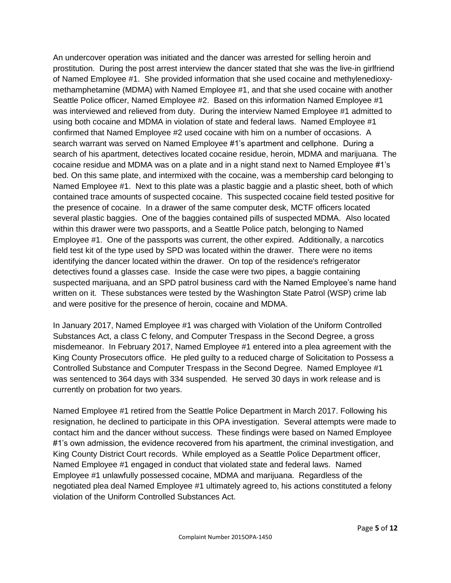An undercover operation was initiated and the dancer was arrested for selling heroin and prostitution. During the post arrest interview the dancer stated that she was the live-in girlfriend of Named Employee #1. She provided information that she used cocaine and methylenedioxymethamphetamine (MDMA) with Named Employee #1, and that she used cocaine with another Seattle Police officer, Named Employee #2. Based on this information Named Employee #1 was interviewed and relieved from duty. During the interview Named Employee #1 admitted to using both cocaine and MDMA in violation of state and federal laws. Named Employee #1 confirmed that Named Employee #2 used cocaine with him on a number of occasions. A search warrant was served on Named Employee #1's apartment and cellphone. During a search of his apartment, detectives located cocaine residue, heroin, MDMA and marijuana. The cocaine residue and MDMA was on a plate and in a night stand next to Named Employee #1's bed. On this same plate, and intermixed with the cocaine, was a membership card belonging to Named Employee #1. Next to this plate was a plastic baggie and a plastic sheet, both of which contained trace amounts of suspected cocaine. This suspected cocaine field tested positive for the presence of cocaine. In a drawer of the same computer desk, MCTF officers located several plastic baggies. One of the baggies contained pills of suspected MDMA. Also located within this drawer were two passports, and a Seattle Police patch, belonging to Named Employee #1. One of the passports was current, the other expired. Additionally, a narcotics field test kit of the type used by SPD was located within the drawer. There were no items identifying the dancer located within the drawer. On top of the residence's refrigerator detectives found a glasses case. Inside the case were two pipes, a baggie containing suspected marijuana, and an SPD patrol business card with the Named Employee's name hand written on it. These substances were tested by the Washington State Patrol (WSP) crime lab and were positive for the presence of heroin, cocaine and MDMA.

In January 2017, Named Employee #1 was charged with Violation of the Uniform Controlled Substances Act, a class C felony, and Computer Trespass in the Second Degree, a gross misdemeanor. In February 2017, Named Employee #1 entered into a plea agreement with the King County Prosecutors office. He pled guilty to a reduced charge of Solicitation to Possess a Controlled Substance and Computer Trespass in the Second Degree. Named Employee #1 was sentenced to 364 days with 334 suspended. He served 30 days in work release and is currently on probation for two years.

Named Employee #1 retired from the Seattle Police Department in March 2017. Following his resignation, he declined to participate in this OPA investigation. Several attempts were made to contact him and the dancer without success. These findings were based on Named Employee #1's own admission, the evidence recovered from his apartment, the criminal investigation, and King County District Court records. While employed as a Seattle Police Department officer, Named Employee #1 engaged in conduct that violated state and federal laws. Named Employee #1 unlawfully possessed cocaine, MDMA and marijuana. Regardless of the negotiated plea deal Named Employee #1 ultimately agreed to, his actions constituted a felony violation of the Uniform Controlled Substances Act.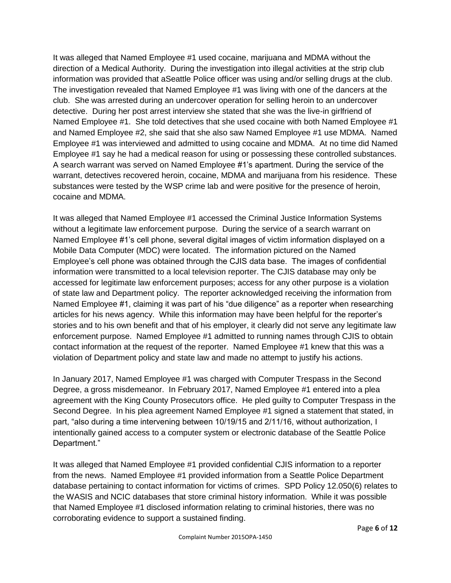It was alleged that Named Employee #1 used cocaine, marijuana and MDMA without the direction of a Medical Authority. During the investigation into illegal activities at the strip club information was provided that aSeattle Police officer was using and/or selling drugs at the club. The investigation revealed that Named Employee #1 was living with one of the dancers at the club. She was arrested during an undercover operation for selling heroin to an undercover detective. During her post arrest interview she stated that she was the live-in girlfriend of Named Employee #1. She told detectives that she used cocaine with both Named Employee #1 and Named Employee #2, she said that she also saw Named Employee #1 use MDMA. Named Employee #1 was interviewed and admitted to using cocaine and MDMA. At no time did Named Employee #1 say he had a medical reason for using or possessing these controlled substances. A search warrant was served on Named Employee #1's apartment. During the service of the warrant, detectives recovered heroin, cocaine, MDMA and marijuana from his residence. These substances were tested by the WSP crime lab and were positive for the presence of heroin, cocaine and MDMA.

It was alleged that Named Employee #1 accessed the Criminal Justice Information Systems without a legitimate law enforcement purpose. During the service of a search warrant on Named Employee #1's cell phone, several digital images of victim information displayed on a Mobile Data Computer (MDC) were located. The information pictured on the Named Employee's cell phone was obtained through the CJIS data base. The images of confidential information were transmitted to a local television reporter. The CJIS database may only be accessed for legitimate law enforcement purposes; access for any other purpose is a violation of state law and Department policy. The reporter acknowledged receiving the information from Named Employee #1, claiming it was part of his "due diligence" as a reporter when researching articles for his news agency. While this information may have been helpful for the reporter's stories and to his own benefit and that of his employer, it clearly did not serve any legitimate law enforcement purpose. Named Employee #1 admitted to running names through CJIS to obtain contact information at the request of the reporter. Named Employee #1 knew that this was a violation of Department policy and state law and made no attempt to justify his actions.

In January 2017, Named Employee #1 was charged with Computer Trespass in the Second Degree, a gross misdemeanor. In February 2017, Named Employee #1 entered into a plea agreement with the King County Prosecutors office. He pled guilty to Computer Trespass in the Second Degree. In his plea agreement Named Employee #1 signed a statement that stated, in part, "also during a time intervening between 10/19/15 and 2/11/16, without authorization, I intentionally gained access to a computer system or electronic database of the Seattle Police Department."

It was alleged that Named Employee #1 provided confidential CJIS information to a reporter from the news. Named Employee #1 provided information from a Seattle Police Department database pertaining to contact information for victims of crimes. SPD Policy 12.050(6) relates to the WASIS and NCIC databases that store criminal history information. While it was possible that Named Employee #1 disclosed information relating to criminal histories, there was no corroborating evidence to support a sustained finding.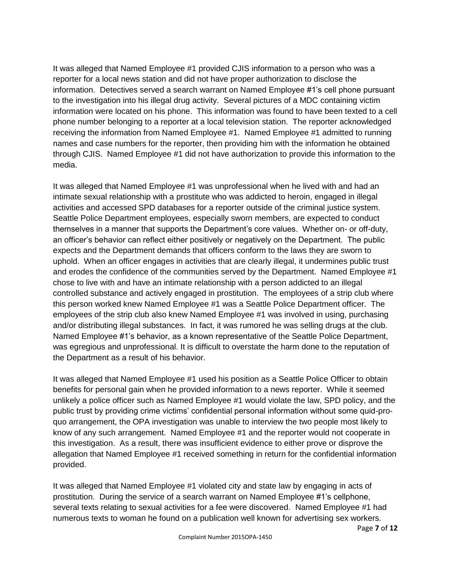It was alleged that Named Employee #1 provided CJIS information to a person who was a reporter for a local news station and did not have proper authorization to disclose the information. Detectives served a search warrant on Named Employee #1's cell phone pursuant to the investigation into his illegal drug activity. Several pictures of a MDC containing victim information were located on his phone. This information was found to have been texted to a cell phone number belonging to a reporter at a local television station. The reporter acknowledged receiving the information from Named Employee #1. Named Employee #1 admitted to running names and case numbers for the reporter, then providing him with the information he obtained through CJIS. Named Employee #1 did not have authorization to provide this information to the media.

It was alleged that Named Employee #1 was unprofessional when he lived with and had an intimate sexual relationship with a prostitute who was addicted to heroin, engaged in illegal activities and accessed SPD databases for a reporter outside of the criminal justice system. Seattle Police Department employees, especially sworn members, are expected to conduct themselves in a manner that supports the Department's core values. Whether on- or off-duty, an officer's behavior can reflect either positively or negatively on the Department. The public expects and the Department demands that officers conform to the laws they are sworn to uphold. When an officer engages in activities that are clearly illegal, it undermines public trust and erodes the confidence of the communities served by the Department. Named Employee #1 chose to live with and have an intimate relationship with a person addicted to an illegal controlled substance and actively engaged in prostitution. The employees of a strip club where this person worked knew Named Employee #1 was a Seattle Police Department officer. The employees of the strip club also knew Named Employee #1 was involved in using, purchasing and/or distributing illegal substances. In fact, it was rumored he was selling drugs at the club. Named Employee #1's behavior, as a known representative of the Seattle Police Department, was egregious and unprofessional. It is difficult to overstate the harm done to the reputation of the Department as a result of his behavior.

It was alleged that Named Employee #1 used his position as a Seattle Police Officer to obtain benefits for personal gain when he provided information to a news reporter. While it seemed unlikely a police officer such as Named Employee #1 would violate the law, SPD policy, and the public trust by providing crime victims' confidential personal information without some quid-proquo arrangement, the OPA investigation was unable to interview the two people most likely to know of any such arrangement. Named Employee #1 and the reporter would not cooperate in this investigation. As a result, there was insufficient evidence to either prove or disprove the allegation that Named Employee #1 received something in return for the confidential information provided.

It was alleged that Named Employee #1 violated city and state law by engaging in acts of prostitution. During the service of a search warrant on Named Employee #1's cellphone, several texts relating to sexual activities for a fee were discovered. Named Employee #1 had numerous texts to woman he found on a publication well known for advertising sex workers.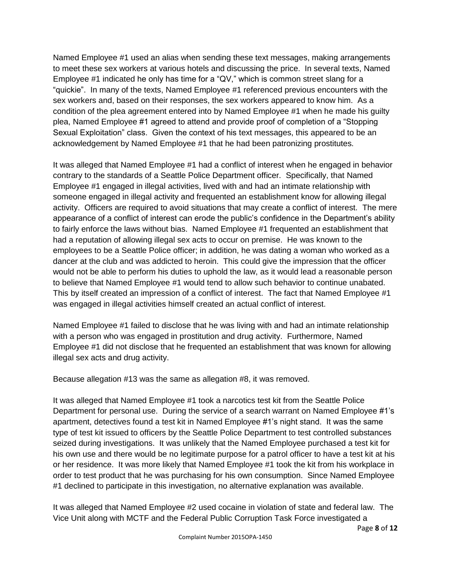Named Employee #1 used an alias when sending these text messages, making arrangements to meet these sex workers at various hotels and discussing the price. In several texts, Named Employee #1 indicated he only has time for a "QV," which is common street slang for a "quickie". In many of the texts, Named Employee #1 referenced previous encounters with the sex workers and, based on their responses, the sex workers appeared to know him. As a condition of the plea agreement entered into by Named Employee #1 when he made his guilty plea, Named Employee #1 agreed to attend and provide proof of completion of a "Stopping Sexual Exploitation" class. Given the context of his text messages, this appeared to be an acknowledgement by Named Employee #1 that he had been patronizing prostitutes.

It was alleged that Named Employee #1 had a conflict of interest when he engaged in behavior contrary to the standards of a Seattle Police Department officer. Specifically, that Named Employee #1 engaged in illegal activities, lived with and had an intimate relationship with someone engaged in illegal activity and frequented an establishment know for allowing illegal activity. Officers are required to avoid situations that may create a conflict of interest. The mere appearance of a conflict of interest can erode the public's confidence in the Department's ability to fairly enforce the laws without bias. Named Employee #1 frequented an establishment that had a reputation of allowing illegal sex acts to occur on premise. He was known to the employees to be a Seattle Police officer; in addition, he was dating a woman who worked as a dancer at the club and was addicted to heroin. This could give the impression that the officer would not be able to perform his duties to uphold the law, as it would lead a reasonable person to believe that Named Employee #1 would tend to allow such behavior to continue unabated. This by itself created an impression of a conflict of interest. The fact that Named Employee #1 was engaged in illegal activities himself created an actual conflict of interest.

Named Employee #1 failed to disclose that he was living with and had an intimate relationship with a person who was engaged in prostitution and drug activity. Furthermore, Named Employee #1 did not disclose that he frequented an establishment that was known for allowing illegal sex acts and drug activity.

Because allegation #13 was the same as allegation #8, it was removed.

It was alleged that Named Employee #1 took a narcotics test kit from the Seattle Police Department for personal use. During the service of a search warrant on Named Employee #1's apartment, detectives found a test kit in Named Employee #1's night stand. It was the same type of test kit issued to officers by the Seattle Police Department to test controlled substances seized during investigations. It was unlikely that the Named Employee purchased a test kit for his own use and there would be no legitimate purpose for a patrol officer to have a test kit at his or her residence. It was more likely that Named Employee #1 took the kit from his workplace in order to test product that he was purchasing for his own consumption. Since Named Employee #1 declined to participate in this investigation, no alternative explanation was available.

It was alleged that Named Employee #2 used cocaine in violation of state and federal law. The Vice Unit along with MCTF and the Federal Public Corruption Task Force investigated a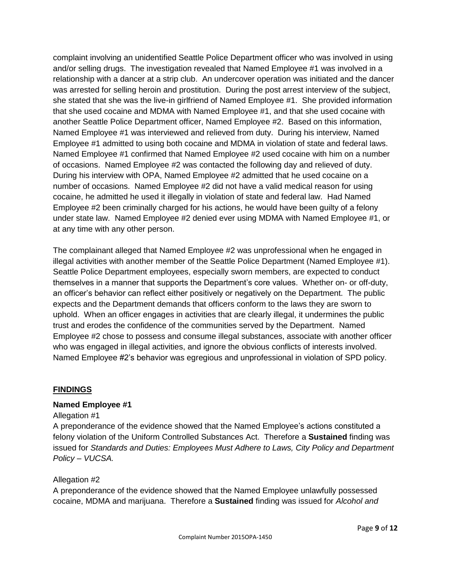complaint involving an unidentified Seattle Police Department officer who was involved in using and/or selling drugs. The investigation revealed that Named Employee #1 was involved in a relationship with a dancer at a strip club. An undercover operation was initiated and the dancer was arrested for selling heroin and prostitution. During the post arrest interview of the subject, she stated that she was the live-in girlfriend of Named Employee #1. She provided information that she used cocaine and MDMA with Named Employee #1, and that she used cocaine with another Seattle Police Department officer, Named Employee #2. Based on this information, Named Employee #1 was interviewed and relieved from duty. During his interview, Named Employee #1 admitted to using both cocaine and MDMA in violation of state and federal laws. Named Employee #1 confirmed that Named Employee #2 used cocaine with him on a number of occasions. Named Employee #2 was contacted the following day and relieved of duty. During his interview with OPA, Named Employee #2 admitted that he used cocaine on a number of occasions. Named Employee #2 did not have a valid medical reason for using cocaine, he admitted he used it illegally in violation of state and federal law. Had Named Employee #2 been criminally charged for his actions, he would have been guilty of a felony under state law. Named Employee #2 denied ever using MDMA with Named Employee #1, or at any time with any other person.

The complainant alleged that Named Employee #2 was unprofessional when he engaged in illegal activities with another member of the Seattle Police Department (Named Employee #1). Seattle Police Department employees, especially sworn members, are expected to conduct themselves in a manner that supports the Department's core values. Whether on- or off-duty, an officer's behavior can reflect either positively or negatively on the Department. The public expects and the Department demands that officers conform to the laws they are sworn to uphold. When an officer engages in activities that are clearly illegal, it undermines the public trust and erodes the confidence of the communities served by the Department. Named Employee #2 chose to possess and consume illegal substances, associate with another officer who was engaged in illegal activities, and ignore the obvious conflicts of interests involved. Named Employee #2's behavior was egregious and unprofessional in violation of SPD policy.

#### **FINDINGS**

#### **Named Employee #1**

#### Allegation #1

A preponderance of the evidence showed that the Named Employee's actions constituted a felony violation of the Uniform Controlled Substances Act. Therefore a **Sustained** finding was issued for *Standards and Duties: Employees Must Adhere to Laws, City Policy and Department Policy – VUCSA.*

#### Allegation #2

A preponderance of the evidence showed that the Named Employee unlawfully possessed cocaine, MDMA and marijuana. Therefore a **Sustained** finding was issued for *Alcohol and*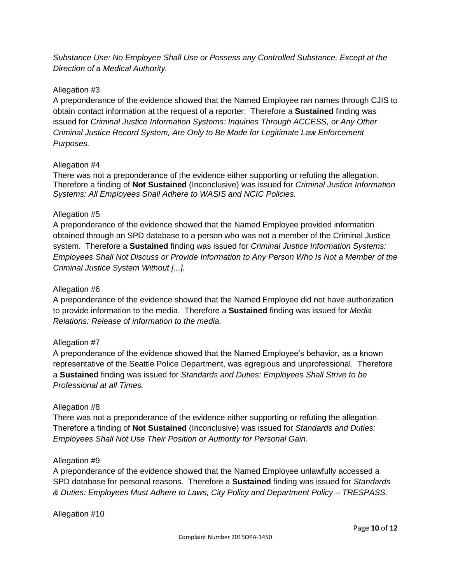*Substance Use: No Employee Shall Use or Possess any Controlled Substance, Except at the Direction of a Medical Authority.*

# Allegation #3

A preponderance of the evidence showed that the Named Employee ran names through CJIS to obtain contact information at the request of a reporter. Therefore a **Sustained** finding was issued for *Criminal Justice Information Systems: Inquiries Through ACCESS, or Any Other Criminal Justice Record System, Are Only to Be Made for Legitimate Law Enforcement Purposes.*

# Allegation #4

There was not a preponderance of the evidence either supporting or refuting the allegation. Therefore a finding of **Not Sustained** (Inconclusive) was issued for *Criminal Justice Information Systems: All Employees Shall Adhere to WASIS and NCIC Policies.*

# Allegation #5

A preponderance of the evidence showed that the Named Employee provided information obtained through an SPD database to a person who was not a member of the Criminal Justice system. Therefore a **Sustained** finding was issued for *Criminal Justice Information Systems: Employees Shall Not Discuss or Provide Information to Any Person Who Is Not a Member of the Criminal Justice System Without [...].*

### Allegation #6

A preponderance of the evidence showed that the Named Employee did not have authorization to provide information to the media. Therefore a **Sustained** finding was issued for *Media Relations: Release of information to the media.*

#### Allegation #7

A preponderance of the evidence showed that the Named Employee's behavior, as a known representative of the Seattle Police Department, was egregious and unprofessional. Therefore a **Sustained** finding was issued for *Standards and Duties: Employees Shall Strive to be Professional at all Times.*

#### Allegation #8

There was not a preponderance of the evidence either supporting or refuting the allegation. Therefore a finding of **Not Sustained** (Inconclusive) was issued for *Standards and Duties: Employees Shall Not Use Their Position or Authority for Personal Gain.*

#### Allegation #9

A preponderance of the evidence showed that the Named Employee unlawfully accessed a SPD database for personal reasons. Therefore a **Sustained** finding was issued for *Standards & Duties: Employees Must Adhere to Laws, City Policy and Department Policy – TRESPASS.*

Allegation #10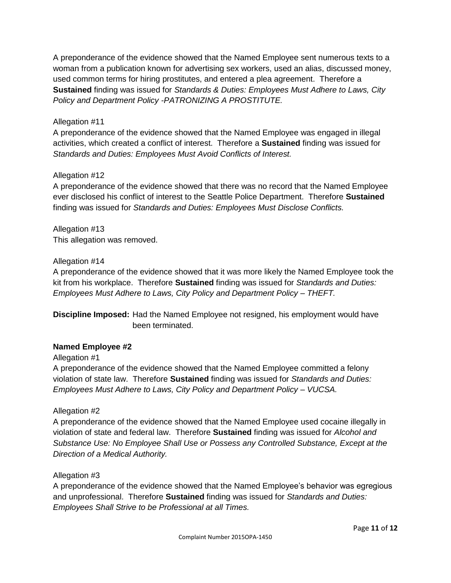A preponderance of the evidence showed that the Named Employee sent numerous texts to a woman from a publication known for advertising sex workers, used an alias, discussed money, used common terms for hiring prostitutes, and entered a plea agreement. Therefore a **Sustained** finding was issued for *Standards & Duties: Employees Must Adhere to Laws, City Policy and Department Policy -PATRONIZING A PROSTITUTE.*

# Allegation #11

A preponderance of the evidence showed that the Named Employee was engaged in illegal activities, which created a conflict of interest. Therefore a **Sustained** finding was issued for *Standards and Duties: Employees Must Avoid Conflicts of Interest.*

# Allegation #12

A preponderance of the evidence showed that there was no record that the Named Employee ever disclosed his conflict of interest to the Seattle Police Department. Therefore **Sustained** finding was issued for *Standards and Duties: Employees Must Disclose Conflicts.*

Allegation #13 This allegation was removed.

# Allegation #14

A preponderance of the evidence showed that it was more likely the Named Employee took the kit from his workplace. Therefore **Sustained** finding was issued for *Standards and Duties: Employees Must Adhere to Laws, City Policy and Department Policy – THEFT.*

**Discipline Imposed:** Had the Named Employee not resigned, his employment would have been terminated.

# **Named Employee #2**

Allegation #1

A preponderance of the evidence showed that the Named Employee committed a felony violation of state law. Therefore **Sustained** finding was issued for *Standards and Duties: Employees Must Adhere to Laws, City Policy and Department Policy – VUCSA.*

#### Allegation #2

A preponderance of the evidence showed that the Named Employee used cocaine illegally in violation of state and federal law. Therefore **Sustained** finding was issued for *Alcohol and Substance Use: No Employee Shall Use or Possess any Controlled Substance, Except at the Direction of a Medical Authority.*

#### Allegation #3

A preponderance of the evidence showed that the Named Employee's behavior was egregious and unprofessional. Therefore **Sustained** finding was issued for *Standards and Duties: Employees Shall Strive to be Professional at all Times.*